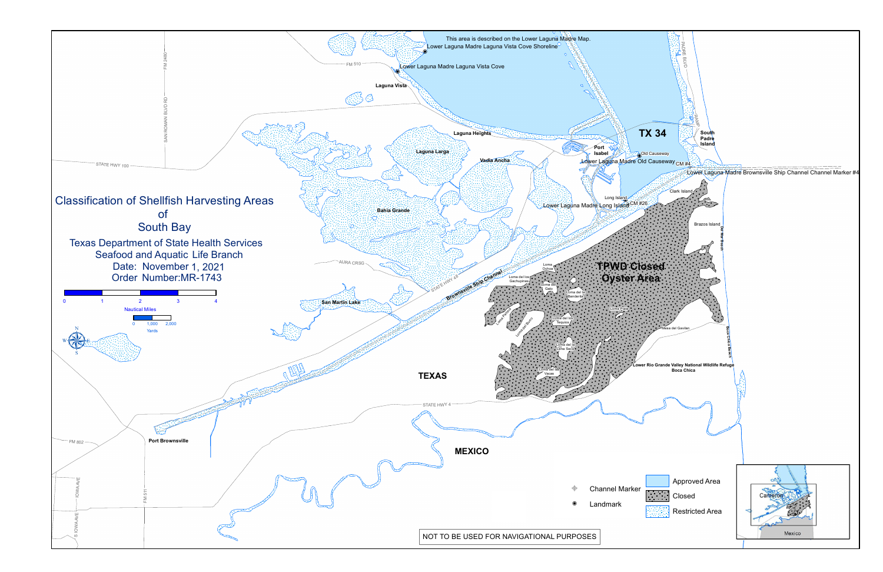